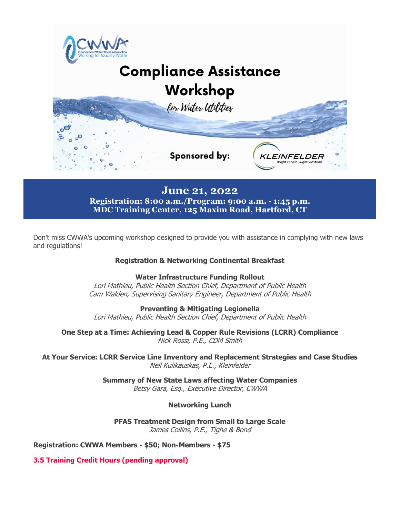

**June 21, 2022**

**Registration: 8:00 a.m./Program: 9:00 a.m. - 1:45 p.m. MDC Training Center, 125 Maxim Road, Hartford, CT**

Don't miss CWWA's upcoming workshop designed to provide you with assistance in complying with new laws and regulations!

## **Registration & Networking Continental Breakfast**

**Water Infrastructure Funding Rollout**

Lori Mathieu, Public Health Section Chief, Department of Public Health Cam Walden, Supervising Sanitary Engineer, Department of Public Health

**Preventing & Mitigating Legionella** Lori Mathieu, Public Health Section Chief, Department of Public Health

**One Step at a Time: Achieving Lead & Copper Rule Revisions (LCRR) Compliance** Nick Rossi, P.E., CDM Smith

**At Your Service: LCRR Service Line Inventory and Replacement Strategies and Case Studies** Neil Kulikauskas, P.E., Kleinfelder

> **Summary of New State Laws affecting Water Companies** Betsy Gara, Esq., Executive Director, CWWA

## **Networking Lunch**

**PFAS Treatment Design from Small to Large Scale** James Collins, P.E., Tighe & Bond

**Registration: CWWA Members - \$50; Non-Members - \$75**

**3.5 Training Credit Hours (pending approval)**